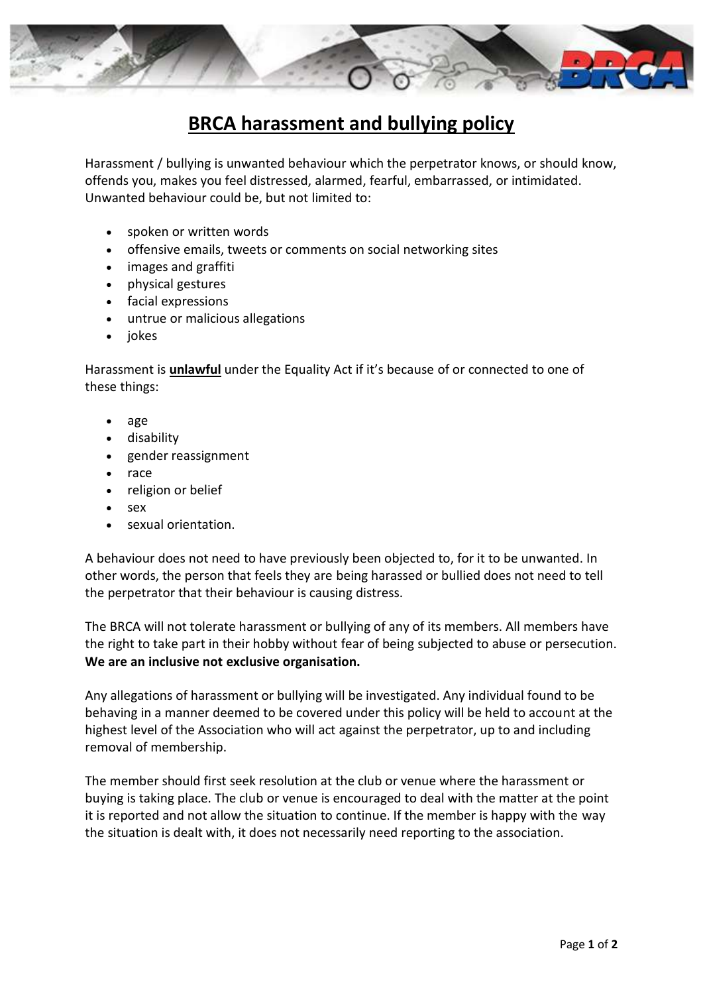

## **BRCA harassment and bullying policy**

Harassment / bullying is unwanted behaviour which the perpetrator knows, or should know, offends you, makes you feel distressed, alarmed, fearful, embarrassed, or intimidated. Unwanted behaviour could be, but not limited to:

- spoken or written words
- offensive emails, tweets or comments on social networking sites
- images and graffiti
- physical gestures
- facial expressions
- untrue or malicious allegations
- jokes

Harassment is **unlawful** under the Equality Act if it's because of or connected to one of these things:

- age
- disability
- gender reassignment
- race
- religion or belief
- sex
- sexual orientation.

A behaviour does not need to have previously been objected to, for it to be unwanted. In other words, the person that feels they are being harassed or bullied does not need to tell the perpetrator that their behaviour is causing distress.

The BRCA will not tolerate harassment or bullying of any of its members. All members have the right to take part in their hobby without fear of being subjected to abuse or persecution. **We are an inclusive not exclusive organisation.**

Any allegations of harassment or bullying will be investigated. Any individual found to be behaving in a manner deemed to be covered under this policy will be held to account at the highest level of the Association who will act against the perpetrator, up to and including removal of membership.

The member should first seek resolution at the club or venue where the harassment or buying is taking place. The club or venue is encouraged to deal with the matter at the point it is reported and not allow the situation to continue. If the member is happy with the way the situation is dealt with, it does not necessarily need reporting to the association.